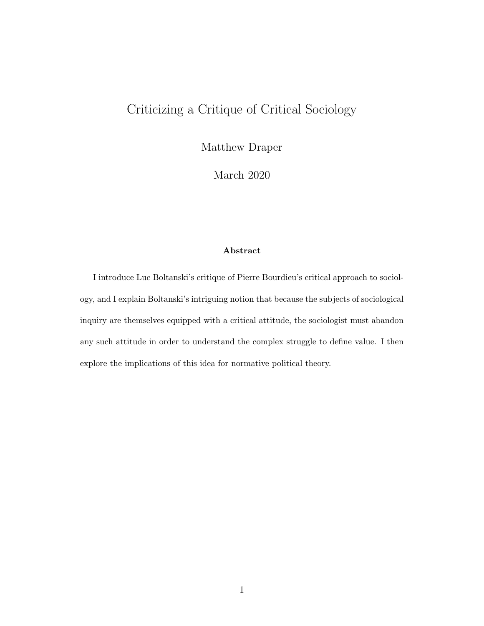# Criticizing a Critique of Critical Sociology

Matthew Draper

March 2020

#### Abstract

I introduce Luc Boltanski's critique of Pierre Bourdieu's critical approach to sociology, and I explain Boltanski's intriguing notion that because the subjects of sociological inquiry are themselves equipped with a critical attitude, the sociologist must abandon any such attitude in order to understand the complex struggle to define value. I then explore the implications of this idea for normative political theory.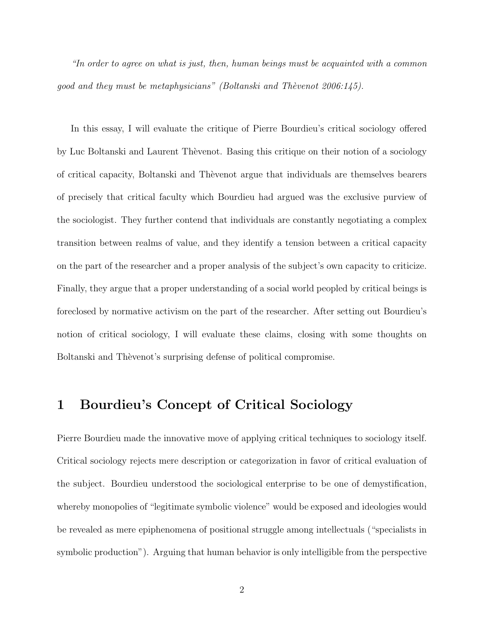"In order to agree on what is just, then, human beings must be acquainted with a common good and they must be metaphysicians" (Boltanski and Thèvenot 2006:145).

In this essay, I will evaluate the critique of Pierre Bourdieu's critical sociology offered by Luc Boltanski and Laurent Thèvenot. Basing this critique on their notion of a sociology of critical capacity, Boltanski and Thèvenot argue that individuals are themselves bearers of precisely that critical faculty which Bourdieu had argued was the exclusive purview of the sociologist. They further contend that individuals are constantly negotiating a complex transition between realms of value, and they identify a tension between a critical capacity on the part of the researcher and a proper analysis of the subject's own capacity to criticize. Finally, they argue that a proper understanding of a social world peopled by critical beings is foreclosed by normative activism on the part of the researcher. After setting out Bourdieu's notion of critical sociology, I will evaluate these claims, closing with some thoughts on Boltanski and Thèvenot's surprising defense of political compromise.

#### 1 Bourdieu's Concept of Critical Sociology

Pierre Bourdieu made the innovative move of applying critical techniques to sociology itself. Critical sociology rejects mere description or categorization in favor of critical evaluation of the subject. Bourdieu understood the sociological enterprise to be one of demystification, whereby monopolies of "legitimate symbolic violence" would be exposed and ideologies would be revealed as mere epiphenomena of positional struggle among intellectuals ("specialists in symbolic production"). Arguing that human behavior is only intelligible from the perspective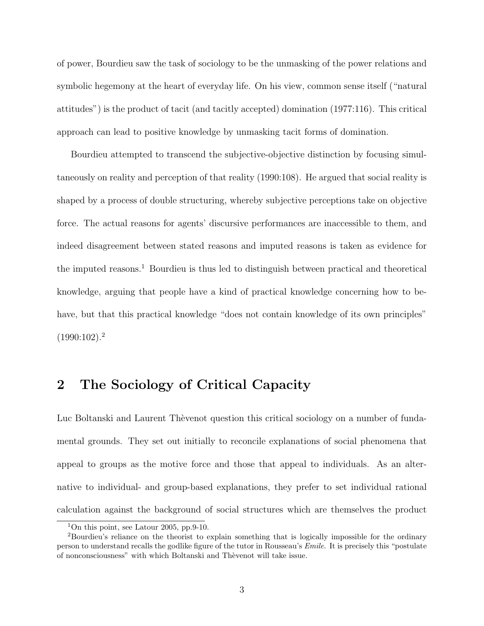of power, Bourdieu saw the task of sociology to be the unmasking of the power relations and symbolic hegemony at the heart of everyday life. On his view, common sense itself ("natural attitudes") is the product of tacit (and tacitly accepted) domination (1977:116). This critical approach can lead to positive knowledge by unmasking tacit forms of domination.

Bourdieu attempted to transcend the subjective-objective distinction by focusing simultaneously on reality and perception of that reality (1990:108). He argued that social reality is shaped by a process of double structuring, whereby subjective perceptions take on objective force. The actual reasons for agents' discursive performances are inaccessible to them, and indeed disagreement between stated reasons and imputed reasons is taken as evidence for the imputed reasons.<sup>1</sup> Bourdieu is thus led to distinguish between practical and theoretical knowledge, arguing that people have a kind of practical knowledge concerning how to behave, but that this practical knowledge "does not contain knowledge of its own principles"  $(1990:102).<sup>2</sup>$ 

## 2 The Sociology of Critical Capacity

Luc Boltanski and Laurent Thèvenot question this critical sociology on a number of fundamental grounds. They set out initially to reconcile explanations of social phenomena that appeal to groups as the motive force and those that appeal to individuals. As an alternative to individual- and group-based explanations, they prefer to set individual rational calculation against the background of social structures which are themselves the product

<sup>&</sup>lt;sup>1</sup>On this point, see Latour 2005, pp.9-10.

<sup>2</sup>Bourdieu's reliance on the theorist to explain something that is logically impossible for the ordinary person to understand recalls the godlike figure of the tutor in Rousseau's Emile. It is precisely this "postulate of nonconsciousness" with which Boltanski and Thèvenot will take issue.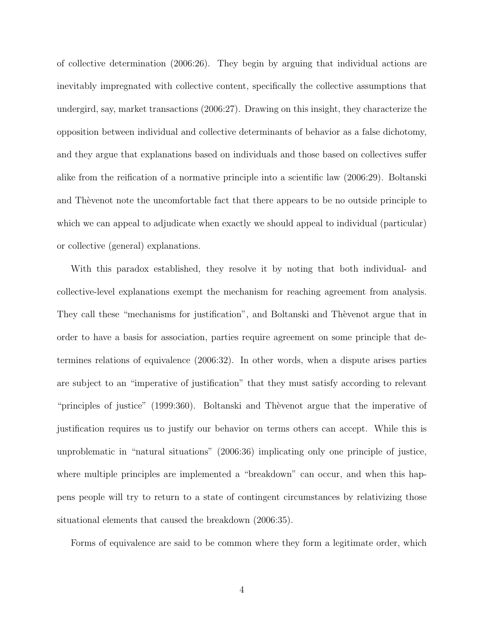of collective determination (2006:26). They begin by arguing that individual actions are inevitably impregnated with collective content, specifically the collective assumptions that undergird, say, market transactions (2006:27). Drawing on this insight, they characterize the opposition between individual and collective determinants of behavior as a false dichotomy, and they argue that explanations based on individuals and those based on collectives suffer alike from the reification of a normative principle into a scientific law (2006:29). Boltanski and Theorem to the uncomfortable fact that there appears to be no outside principle to which we can appeal to adjudicate when exactly we should appeal to individual (particular) or collective (general) explanations.

With this paradox established, they resolve it by noting that both individual- and collective-level explanations exempt the mechanism for reaching agreement from analysis. They call these "mechanisms for justification", and Boltanski and Theorem argue that in order to have a basis for association, parties require agreement on some principle that determines relations of equivalence (2006:32). In other words, when a dispute arises parties are subject to an "imperative of justification" that they must satisfy according to relevant "principles of justice" (1999:360). Boltanski and Thèvenot argue that the imperative of justification requires us to justify our behavior on terms others can accept. While this is unproblematic in "natural situations" (2006:36) implicating only one principle of justice, where multiple principles are implemented a "breakdown" can occur, and when this happens people will try to return to a state of contingent circumstances by relativizing those situational elements that caused the breakdown (2006:35).

Forms of equivalence are said to be common where they form a legitimate order, which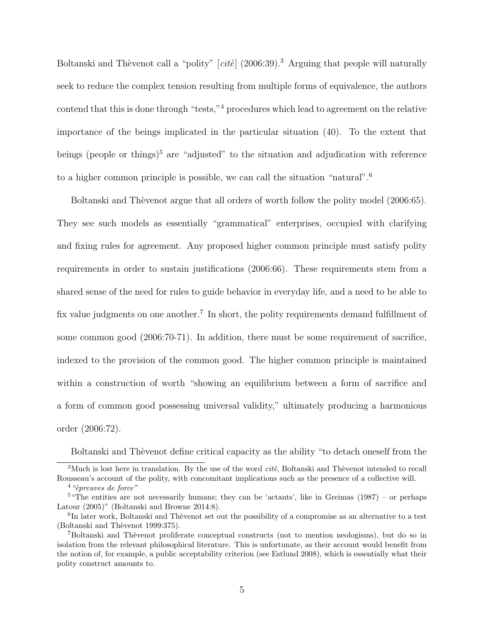Boltanski and Thèvenot call a "polity"  $[cit\acute{e}]$  (2006:39).<sup>3</sup> Arguing that people will naturally seek to reduce the complex tension resulting from multiple forms of equivalence, the authors contend that this is done through "tests,"<sup>4</sup> procedures which lead to agreement on the relative importance of the beings implicated in the particular situation (40). To the extent that beings (people or things)<sup>5</sup> are "adjusted" to the situation and adjudication with reference to a higher common principle is possible, we can call the situation "natural".<sup>6</sup>

Boltanski and Thèvenot argue that all orders of worth follow the polity model (2006:65). They see such models as essentially "grammatical" enterprises, occupied with clarifying and fixing rules for agreement. Any proposed higher common principle must satisfy polity requirements in order to sustain justifications (2006:66). These requirements stem from a shared sense of the need for rules to guide behavior in everyday life, and a need to be able to fix value judgments on one another.<sup>7</sup> In short, the polity requirements demand fulfillment of some common good (2006:70-71). In addition, there must be some requirement of sacrifice, indexed to the provision of the common good. The higher common principle is maintained within a construction of worth "showing an equilibrium between a form of sacrifice and a form of common good possessing universal validity," ultimately producing a harmonious order (2006:72).

Boltanski and Thèvenot define critical capacity as the ability "to detach oneself from the

<sup>3</sup>Much is lost here in translation. By the use of the word *cite*, Boltanski and Thevenot intended to recall Rousseau's account of the polity, with concomitant implications such as the presence of a collective will.

 $4$  "èpreuves de force"

 $5$  "The entities are not necessarily humans; they can be 'actants', like in Greimas (1987) – or perhaps Latour (2005)" (Boltanski and Browne 2014:8).

<sup>&</sup>lt;sup>6</sup>In later work, Boltanski and Thèvenot set out the possibility of a compromise as an alternative to a test (Boltanski and Thèvenot 1999:375).

<sup>&</sup>lt;sup>7</sup>Boltanski and Thèvenot proliferate conceptual constructs (not to mention neologisms), but do so in isolation from the relevant philosophical literature. This is unfortunate, as their account would benefit from the notion of, for example, a public acceptability criterion (see Estlund 2008), which is essentially what their polity construct amounts to.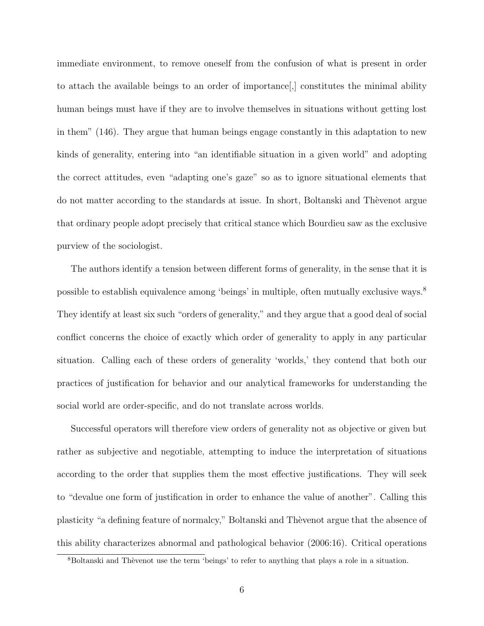immediate environment, to remove oneself from the confusion of what is present in order to attach the available beings to an order of importance[,] constitutes the minimal ability human beings must have if they are to involve themselves in situations without getting lost in them" (146). They argue that human beings engage constantly in this adaptation to new kinds of generality, entering into "an identifiable situation in a given world" and adopting the correct attitudes, even "adapting one's gaze" so as to ignore situational elements that do not matter according to the standards at issue. In short, Boltanski and Theorem argue that ordinary people adopt precisely that critical stance which Bourdieu saw as the exclusive purview of the sociologist.

The authors identify a tension between different forms of generality, in the sense that it is possible to establish equivalence among 'beings' in multiple, often mutually exclusive ways.<sup>8</sup> They identify at least six such "orders of generality," and they argue that a good deal of social conflict concerns the choice of exactly which order of generality to apply in any particular situation. Calling each of these orders of generality 'worlds,' they contend that both our practices of justification for behavior and our analytical frameworks for understanding the social world are order-specific, and do not translate across worlds.

Successful operators will therefore view orders of generality not as objective or given but rather as subjective and negotiable, attempting to induce the interpretation of situations according to the order that supplies them the most effective justifications. They will seek to "devalue one form of justification in order to enhance the value of another". Calling this plasticity "a defining feature of normalcy," Boltanski and Thèvenot argue that the absence of this ability characterizes abnormal and pathological behavior (2006:16). Critical operations

<sup>&</sup>lt;sup>8</sup>Boltanski and Thèvenot use the term 'beings' to refer to anything that plays a role in a situation.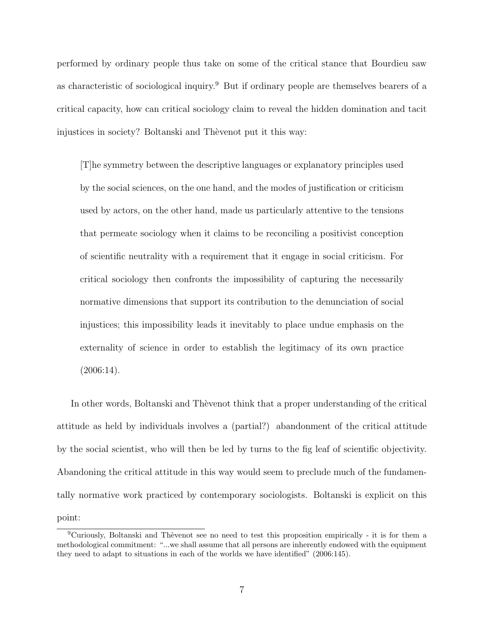performed by ordinary people thus take on some of the critical stance that Bourdieu saw as characteristic of sociological inquiry.<sup>9</sup> But if ordinary people are themselves bearers of a critical capacity, how can critical sociology claim to reveal the hidden domination and tacit injustices in society? Boltanski and Thèvenot put it this way:

[T]he symmetry between the descriptive languages or explanatory principles used by the social sciences, on the one hand, and the modes of justification or criticism used by actors, on the other hand, made us particularly attentive to the tensions that permeate sociology when it claims to be reconciling a positivist conception of scientific neutrality with a requirement that it engage in social criticism. For critical sociology then confronts the impossibility of capturing the necessarily normative dimensions that support its contribution to the denunciation of social injustices; this impossibility leads it inevitably to place undue emphasis on the externality of science in order to establish the legitimacy of its own practice  $(2006:14).$ 

In other words, Boltanski and Thèvenot think that a proper understanding of the critical attitude as held by individuals involves a (partial?) abandonment of the critical attitude by the social scientist, who will then be led by turns to the fig leaf of scientific objectivity. Abandoning the critical attitude in this way would seem to preclude much of the fundamentally normative work practiced by contemporary sociologists. Boltanski is explicit on this point:

 $9$ Curiously, Boltanski and Thèvenot see no need to test this proposition empirically - it is for them a methodological commitment: "...we shall assume that all persons are inherently endowed with the equipment they need to adapt to situations in each of the worlds we have identified" (2006:145).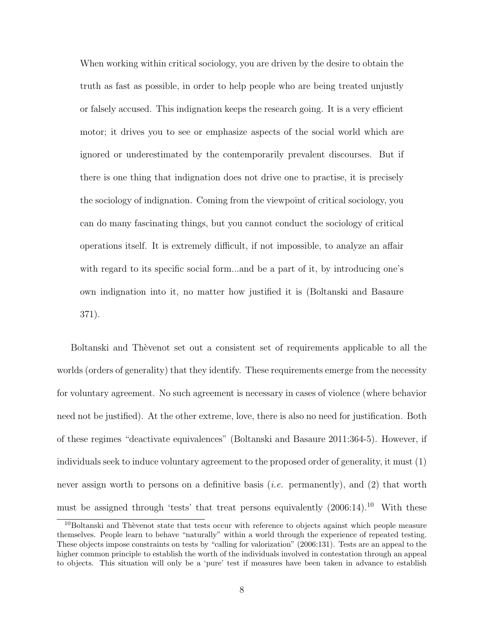When working within critical sociology, you are driven by the desire to obtain the truth as fast as possible, in order to help people who are being treated unjustly or falsely accused. This indignation keeps the research going. It is a very efficient motor; it drives you to see or emphasize aspects of the social world which are ignored or underestimated by the contemporarily prevalent discourses. But if there is one thing that indignation does not drive one to practise, it is precisely the sociology of indignation. Coming from the viewpoint of critical sociology, you can do many fascinating things, but you cannot conduct the sociology of critical operations itself. It is extremely difficult, if not impossible, to analyze an affair with regard to its specific social form...and be a part of it, by introducing one's own indignation into it, no matter how justified it is (Boltanski and Basaure 371).

Boltanski and Thèvenot set out a consistent set of requirements applicable to all the worlds (orders of generality) that they identify. These requirements emerge from the necessity for voluntary agreement. No such agreement is necessary in cases of violence (where behavior need not be justified). At the other extreme, love, there is also no need for justification. Both of these regimes "deactivate equivalences" (Boltanski and Basaure 2011:364-5). However, if individuals seek to induce voluntary agreement to the proposed order of generality, it must (1) never assign worth to persons on a definitive basis *(i.e.* permanently), and (2) that worth must be assigned through 'tests' that treat persons equivalently  $(2006:14).^{10}$  With these

<sup>&</sup>lt;sup>10</sup>Boltanski and Thèvenot state that tests occur with reference to objects against which people measure themselves. People learn to behave "naturally" within a world through the experience of repeated testing. These objects impose constraints on tests by "calling for valorization" (2006:131). Tests are an appeal to the higher common principle to establish the worth of the individuals involved in contestation through an appeal to objects. This situation will only be a 'pure' test if measures have been taken in advance to establish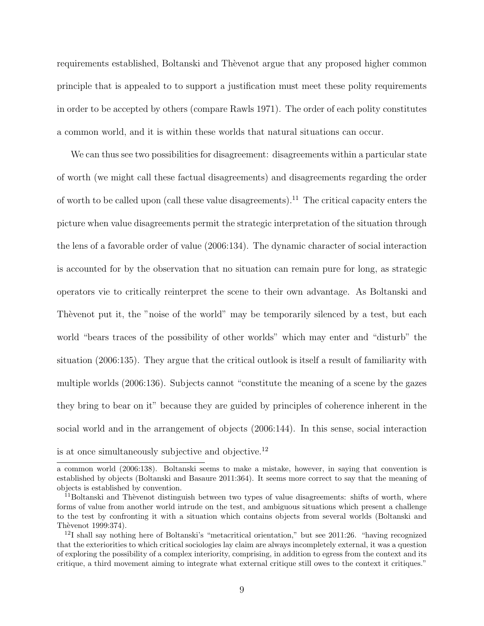requirements established, Boltanski and Thèvenot argue that any proposed higher common principle that is appealed to to support a justification must meet these polity requirements in order to be accepted by others (compare Rawls 1971). The order of each polity constitutes a common world, and it is within these worlds that natural situations can occur.

We can thus see two possibilities for disagreement: disagreements within a particular state of worth (we might call these factual disagreements) and disagreements regarding the order of worth to be called upon (call these value disagreements).<sup>11</sup> The critical capacity enters the picture when value disagreements permit the strategic interpretation of the situation through the lens of a favorable order of value (2006:134). The dynamic character of social interaction is accounted for by the observation that no situation can remain pure for long, as strategic operators vie to critically reinterpret the scene to their own advantage. As Boltanski and The venot put it, the "noise of the world" may be temporarily silenced by a test, but each world "bears traces of the possibility of other worlds" which may enter and "disturb" the situation (2006:135). They argue that the critical outlook is itself a result of familiarity with multiple worlds (2006:136). Subjects cannot "constitute the meaning of a scene by the gazes they bring to bear on it" because they are guided by principles of coherence inherent in the social world and in the arrangement of objects (2006:144). In this sense, social interaction is at once simultaneously subjective and objective.<sup>12</sup>

a common world (2006:138). Boltanski seems to make a mistake, however, in saying that convention is established by objects (Boltanski and Basaure 2011:364). It seems more correct to say that the meaning of objects is established by convention.

 $11$ Boltanski and Thèvenot distinguish between two types of value disagreements: shifts of worth, where forms of value from another world intrude on the test, and ambiguous situations which present a challenge to the test by confronting it with a situation which contains objects from several worlds (Boltanski and Thèvenot 1999:374).

<sup>12</sup>I shall say nothing here of Boltanski's "metacritical orientation," but see 2011:26. "having recognized that the exteriorities to which critical sociologies lay claim are always incompletely external, it was a question of exploring the possibility of a complex interiority, comprising, in addition to egress from the context and its critique, a third movement aiming to integrate what external critique still owes to the context it critiques."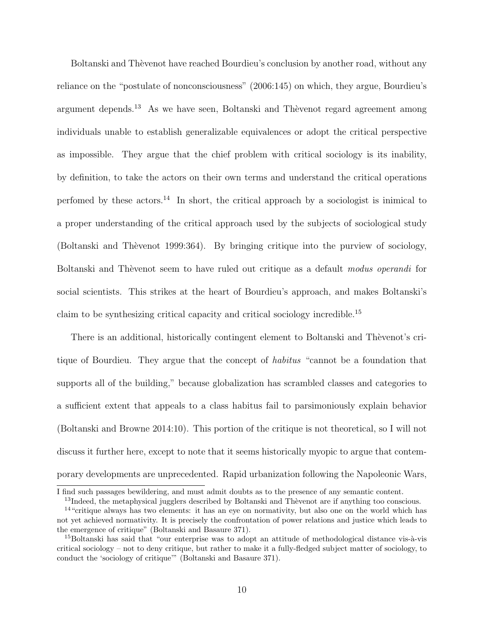Boltanski and Thèvenot have reached Bourdieu's conclusion by another road, without any reliance on the "postulate of nonconsciousness" (2006:145) on which, they argue, Bourdieu's argument depends.<sup>13</sup> As we have seen, Boltanski and Thèvenot regard agreement among individuals unable to establish generalizable equivalences or adopt the critical perspective as impossible. They argue that the chief problem with critical sociology is its inability, by definition, to take the actors on their own terms and understand the critical operations perfomed by these actors.<sup>14</sup> In short, the critical approach by a sociologist is inimical to a proper understanding of the critical approach used by the subjects of sociological study (Boltanski and Thèvenot 1999:364). By bringing critique into the purview of sociology, Boltanski and Thèvenot seem to have ruled out critique as a default modus operandi for social scientists. This strikes at the heart of Bourdieu's approach, and makes Boltanski's claim to be synthesizing critical capacity and critical sociology incredible.<sup>15</sup>

There is an additional, historically contingent element to Boltanski and Thèvenot's critique of Bourdieu. They argue that the concept of habitus "cannot be a foundation that supports all of the building," because globalization has scrambled classes and categories to a sufficient extent that appeals to a class habitus fail to parsimoniously explain behavior (Boltanski and Browne 2014:10). This portion of the critique is not theoretical, so I will not discuss it further here, except to note that it seems historically myopic to argue that contemporary developments are unprecedented. Rapid urbanization following the Napoleonic Wars,

I find such passages bewildering, and must admit doubts as to the presence of any semantic content.

<sup>&</sup>lt;sup>13</sup>Indeed, the metaphysical jugglers described by Boltanski and Thèvenot are if anything too conscious.

<sup>&</sup>lt;sup>14</sup> "critique always has two elements: it has an eye on normativity, but also one on the world which has not yet achieved normativity. It is precisely the confrontation of power relations and justice which leads to the emergence of critique" (Boltanski and Basaure 371).

 $15$ Boltanski has said that "our enterprise was to adopt an attitude of methodological distance vis- $\dot{a}$ -vis critical sociology – not to deny critique, but rather to make it a fully-fledged subject matter of sociology, to conduct the 'sociology of critique'" (Boltanski and Basaure 371).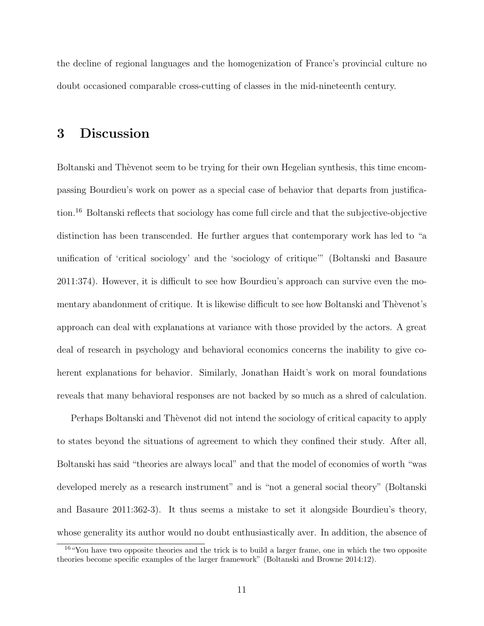the decline of regional languages and the homogenization of France's provincial culture no doubt occasioned comparable cross-cutting of classes in the mid-nineteenth century.

## 3 Discussion

Boltanski and Thèvenot seem to be trying for their own Hegelian synthesis, this time encompassing Bourdieu's work on power as a special case of behavior that departs from justification.<sup>16</sup> Boltanski reflects that sociology has come full circle and that the subjective-objective distinction has been transcended. He further argues that contemporary work has led to "a unification of 'critical sociology' and the 'sociology of critique'" (Boltanski and Basaure 2011:374). However, it is difficult to see how Bourdieu's approach can survive even the momentary abandonment of critique. It is likewise difficult to see how Boltanski and Thèvenot's approach can deal with explanations at variance with those provided by the actors. A great deal of research in psychology and behavioral economics concerns the inability to give coherent explanations for behavior. Similarly, Jonathan Haidt's work on moral foundations reveals that many behavioral responses are not backed by so much as a shred of calculation.

Perhaps Boltanski and Thèvenot did not intend the sociology of critical capacity to apply to states beyond the situations of agreement to which they confined their study. After all, Boltanski has said "theories are always local" and that the model of economies of worth "was developed merely as a research instrument" and is "not a general social theory" (Boltanski and Basaure 2011:362-3). It thus seems a mistake to set it alongside Bourdieu's theory, whose generality its author would no doubt enthusiastically aver. In addition, the absence of

<sup>16</sup>"You have two opposite theories and the trick is to build a larger frame, one in which the two opposite theories become specific examples of the larger framework" (Boltanski and Browne 2014:12).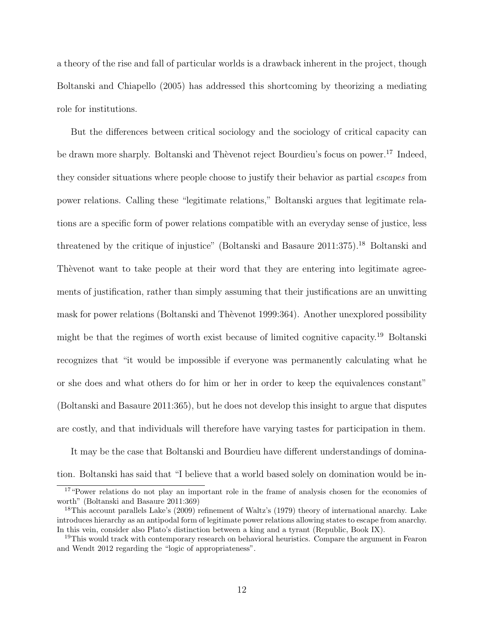a theory of the rise and fall of particular worlds is a drawback inherent in the project, though Boltanski and Chiapello (2005) has addressed this shortcoming by theorizing a mediating role for institutions.

But the differences between critical sociology and the sociology of critical capacity can be drawn more sharply. Boltanski and Thèvenot reject Bourdieu's focus on power.<sup>17</sup> Indeed, they consider situations where people choose to justify their behavior as partial escapes from power relations. Calling these "legitimate relations," Boltanski argues that legitimate relations are a specific form of power relations compatible with an everyday sense of justice, less threatened by the critique of injustice" (Boltanski and Basaure 2011:375).<sup>18</sup> Boltanski and The venot want to take people at their word that they are entering into legitimate agreements of justification, rather than simply assuming that their justifications are an unwitting mask for power relations (Boltanski and Thèvenot 1999:364). Another unexplored possibility might be that the regimes of worth exist because of limited cognitive capacity.<sup>19</sup> Boltanski recognizes that "it would be impossible if everyone was permanently calculating what he or she does and what others do for him or her in order to keep the equivalences constant" (Boltanski and Basaure 2011:365), but he does not develop this insight to argue that disputes are costly, and that individuals will therefore have varying tastes for participation in them.

It may be the case that Boltanski and Bourdieu have different understandings of domination. Boltanski has said that "I believe that a world based solely on domination would be in-

<sup>&</sup>lt;sup>17</sup> "Power relations do not play an important role in the frame of analysis chosen for the economies of worth" (Boltanski and Basaure 2011:369)

<sup>&</sup>lt;sup>18</sup>This account parallels Lake's (2009) refinement of Waltz's (1979) theory of international anarchy. Lake introduces hierarchy as an antipodal form of legitimate power relations allowing states to escape from anarchy. In this vein, consider also Plato's distinction between a king and a tyrant (Republic, Book IX).

<sup>&</sup>lt;sup>19</sup>This would track with contemporary research on behavioral heuristics. Compare the argument in Fearon and Wendt 2012 regarding the "logic of appropriateness".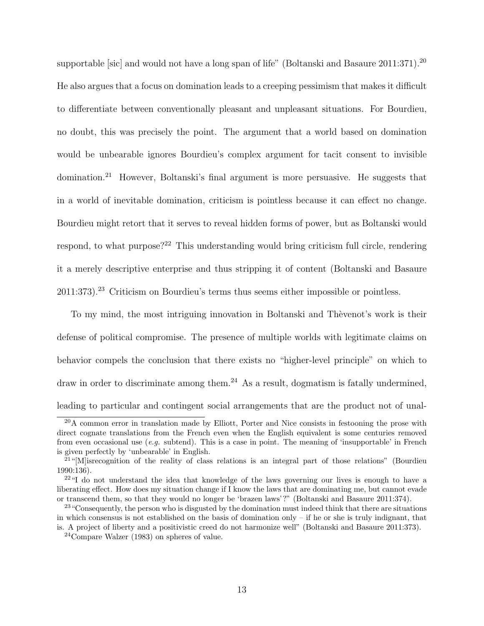supportable [sic] and would not have a long span of life" (Boltanski and Basaure 2011:371).<sup>20</sup> He also argues that a focus on domination leads to a creeping pessimism that makes it difficult to differentiate between conventionally pleasant and unpleasant situations. For Bourdieu, no doubt, this was precisely the point. The argument that a world based on domination would be unbearable ignores Bourdieu's complex argument for tacit consent to invisible domination.<sup>21</sup> However, Boltanski's final argument is more persuasive. He suggests that in a world of inevitable domination, criticism is pointless because it can effect no change. Bourdieu might retort that it serves to reveal hidden forms of power, but as Boltanski would respond, to what purpose?<sup>22</sup> This understanding would bring criticism full circle, rendering it a merely descriptive enterprise and thus stripping it of content (Boltanski and Basaure 2011:373).<sup>23</sup> Criticism on Bourdieu's terms thus seems either impossible or pointless.

To my mind, the most intriguing innovation in Boltanski and Thèvenot's work is their defense of political compromise. The presence of multiple worlds with legitimate claims on behavior compels the conclusion that there exists no "higher-level principle" on which to draw in order to discriminate among them.<sup>24</sup> As a result, dogmatism is fatally undermined, leading to particular and contingent social arrangements that are the product not of unal-

<sup>&</sup>lt;sup>20</sup>A common error in translation made by Elliott, Porter and Nice consists in festooning the prose with direct cognate translations from the French even when the English equivalent is some centuries removed from even occasional use  $(e.g.$  subtend). This is a case in point. The meaning of 'insupportable' in French is given perfectly by 'unbearable' in English.

<sup>&</sup>lt;sup>21</sup>"[M] is recognition of the reality of class relations is an integral part of those relations" (Bourdieu 1990:136).

<sup>&</sup>lt;sup>22</sup>"I do not understand the idea that knowledge of the laws governing our lives is enough to have a liberating effect. How does my situation change if I know the laws that are dominating me, but cannot evade or transcend them, so that they would no longer be 'brazen laws'?" (Boltanski and Basaure 2011:374).

<sup>&</sup>lt;sup>23</sup> "Consequently, the person who is disgusted by the domination must indeed think that there are situations in which consensus is not established on the basis of domination only – if he or she is truly indignant, that is. A project of liberty and a positivistic creed do not harmonize well" (Boltanski and Basaure 2011:373).

<sup>24</sup>Compare Walzer (1983) on spheres of value.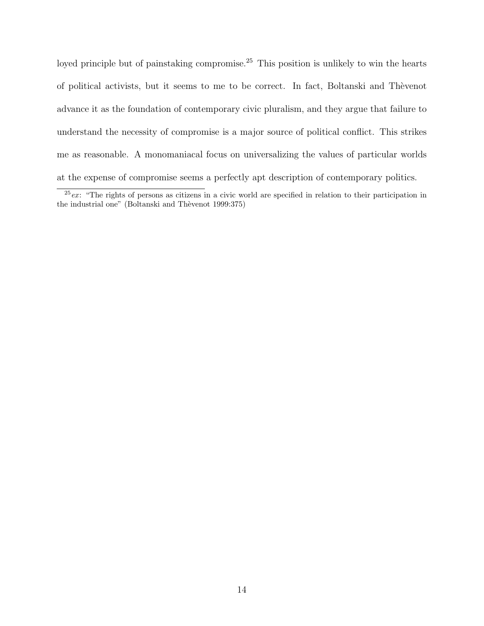loyed principle but of painstaking compromise.<sup>25</sup> This position is unlikely to win the hearts of political activists, but it seems to me to be correct. In fact, Boltanski and Thèvenot advance it as the foundation of contemporary civic pluralism, and they argue that failure to understand the necessity of compromise is a major source of political conflict. This strikes me as reasonable. A monomaniacal focus on universalizing the values of particular worlds at the expense of compromise seems a perfectly apt description of contemporary politics.

 $25$ ex: "The rights of persons as citizens in a civic world are specified in relation to their participation in the industrial one" (Boltanski and Thèvenot 1999:375)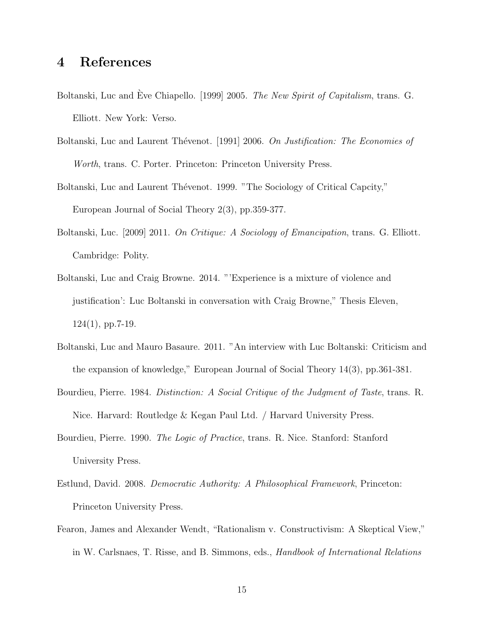### 4 References

- Boltanski, Luc and Eve Chiapello. [1999] 2005. The New Spirit of Capitalism, trans. G. Elliott. New York: Verso.
- Boltanski, Luc and Laurent Thévenot. [1991] 2006. On Justification: The Economies of Worth, trans. C. Porter. Princeton: Princeton University Press.
- Boltanski, Luc and Laurent Thévenot. 1999. "The Sociology of Critical Capcity," European Journal of Social Theory 2(3), pp.359-377.
- Boltanski, Luc. [2009] 2011. On Critique: A Sociology of Emancipation, trans. G. Elliott. Cambridge: Polity.
- Boltanski, Luc and Craig Browne. 2014. "'Experience is a mixture of violence and justification': Luc Boltanski in conversation with Craig Browne," Thesis Eleven,  $124(1)$ , pp.7-19.
- Boltanski, Luc and Mauro Basaure. 2011. "An interview with Luc Boltanski: Criticism and the expansion of knowledge," European Journal of Social Theory 14(3), pp.361-381.
- Bourdieu, Pierre. 1984. Distinction: A Social Critique of the Judgment of Taste, trans. R. Nice. Harvard: Routledge & Kegan Paul Ltd. / Harvard University Press.
- Bourdieu, Pierre. 1990. *The Logic of Practice*, trans. R. Nice. Stanford: Stanford University Press.
- Estlund, David. 2008. Democratic Authority: A Philosophical Framework, Princeton: Princeton University Press.
- Fearon, James and Alexander Wendt, "Rationalism v. Constructivism: A Skeptical View," in W. Carlsnaes, T. Risse, and B. Simmons, eds., Handbook of International Relations